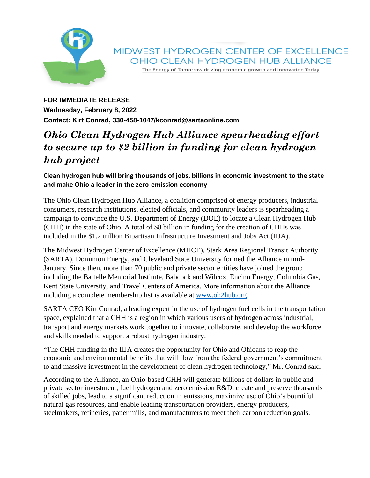

The Energy of Tomorrow driving economic growth and innovation Today

## **FOR IMMEDIATE RELEASE Wednesday, February 8, 2022 Contact: Kirt Conrad, 330-458-1047/kconrad@sartaonline.com**

## *Ohio Clean Hydrogen Hub Alliance spearheading effort to secure up to \$2 billion in funding for clean hydrogen hub project*

## **Clean hydrogen hub will bring thousands of jobs, billions in economic investment to the state and make Ohio a leader in the zero-emission economy**

The Ohio Clean Hydrogen Hub Alliance, a coalition comprised of energy producers, industrial consumers, research institutions, elected officials, and community leaders is spearheading a campaign to convince the U.S. Department of Energy (DOE) to locate a Clean Hydrogen Hub (CHH) in the state of Ohio. A total of \$8 billion in funding for the creation of CHHs was included in the \$1.2 trillion Bipartisan Infrastructure Investment and Jobs Act (IIJA).

The Midwest Hydrogen Center of Excellence (MHCE), Stark Area Regional Transit Authority (SARTA), Dominion Energy, and Cleveland State University formed the Alliance in mid-January. Since then, more than 70 public and private sector entities have joined the group including the Battelle Memorial Institute, Babcock and Wilcox, Encino Energy, Columbia Gas, Kent State University, and Travel Centers of America. More information about the Alliance including a complete membership list is available at [www.oh2hub.org.](http://www.oh2hub.org/)

SARTA CEO Kirt Conrad, a leading expert in the use of hydrogen fuel cells in the transportation space, explained that a CHH is a region in which various users of hydrogen across industrial, transport and energy markets work together to innovate, collaborate, and develop the workforce and skills needed to support a robust hydrogen industry.

"The CHH funding in the IIJA creates the opportunity for Ohio and Ohioans to reap the economic and environmental benefits that will flow from the federal government's commitment to and massive investment in the development of clean hydrogen technology," Mr. Conrad said.

According to the Alliance, an Ohio-based CHH will generate billions of dollars in public and private sector investment, fuel hydrogen and zero emission R&D, create and preserve thousands of skilled jobs, lead to a significant reduction in emissions, maximize use of Ohio's bountiful natural gas resources, and enable leading transportation providers, energy producers, steelmakers, refineries, paper mills, and manufacturers to meet their carbon reduction goals.